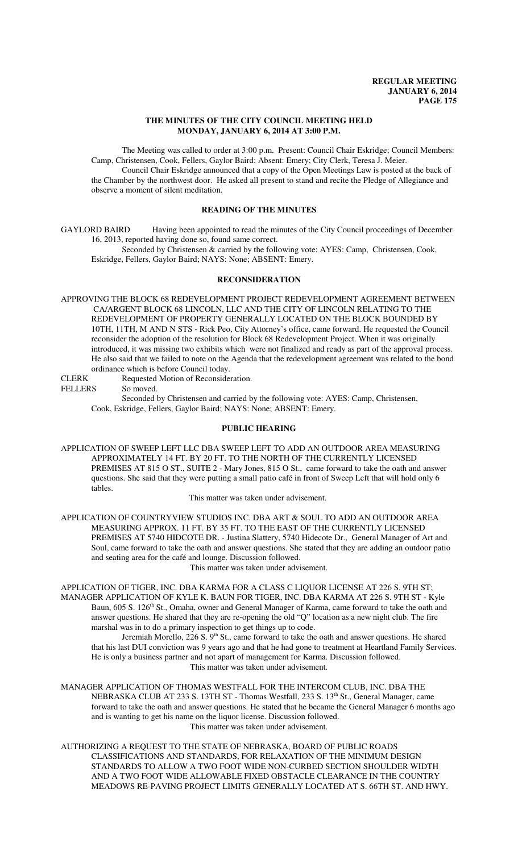### **THE MINUTES OF THE CITY COUNCIL MEETING HELD MONDAY, JANUARY 6, 2014 AT 3:00 P.M.**

The Meeting was called to order at 3:00 p.m. Present: Council Chair Eskridge; Council Members: Camp, Christensen, Cook, Fellers, Gaylor Baird; Absent: Emery; City Clerk, Teresa J. Meier. Council Chair Eskridge announced that a copy of the Open Meetings Law is posted at the back of

the Chamber by the northwest door. He asked all present to stand and recite the Pledge of Allegiance and observe a moment of silent meditation.

# **READING OF THE MINUTES**

GAYLORD BAIRD Having been appointed to read the minutes of the City Council proceedings of December 16, 2013, reported having done so, found same correct.

Seconded by Christensen & carried by the following vote: AYES: Camp, Christensen, Cook, Eskridge, Fellers, Gaylor Baird; NAYS: None; ABSENT: Emery.

### **RECONSIDERATION**

APPROVING THE BLOCK 68 REDEVELOPMENT PROJECT REDEVELOPMENT AGREEMENT BETWEEN CA/ARGENT BLOCK 68 LINCOLN, LLC AND THE CITY OF LINCOLN RELATING TO THE REDEVELOPMENT OF PROPERTY GENERALLY LOCATED ON THE BLOCK BOUNDED BY 10TH, 11TH, M AND N STS - Rick Peo, City Attorney's office, came forward. He requested the Council reconsider the adoption of the resolution for Block 68 Redevelopment Project. When it was originally introduced, it was missing two exhibits which were not finalized and ready as part of the approval process. He also said that we failed to note on the Agenda that the redevelopment agreement was related to the bond ordinance which is before Council today.

CLERK Requested Motion of Reconsideration.

FELLERS So moved.

Seconded by Christensen and carried by the following vote: AYES: Camp, Christensen, Cook, Eskridge, Fellers, Gaylor Baird; NAYS: None; ABSENT: Emery.

# **PUBLIC HEARING**

APPLICATION OF SWEEP LEFT LLC DBA SWEEP LEFT TO ADD AN OUTDOOR AREA MEASURING APPROXIMATELY 14 FT. BY 20 FT. TO THE NORTH OF THE CURRENTLY LICENSED PREMISES AT 815 O ST., SUITE 2 - Mary Jones, 815 O St., came forward to take the oath and answer questions. She said that they were putting a small patio café in front of Sweep Left that will hold only 6 tables.

This matter was taken under advisement.

APPLICATION OF COUNTRYVIEW STUDIOS INC. DBA ART & SOUL TO ADD AN OUTDOOR AREA MEASURING APPROX. 11 FT. BY 35 FT. TO THE EAST OF THE CURRENTLY LICENSED PREMISES AT 5740 HIDCOTE DR. - Justina Slattery, 5740 Hidecote Dr., General Manager of Art and Soul, came forward to take the oath and answer questions. She stated that they are adding an outdoor patio and seating area for the café and lounge. Discussion followed.

This matter was taken under advisement.

APPLICATION OF TIGER, INC. DBA KARMA FOR A CLASS C LIQUOR LICENSE AT 226 S. 9TH ST; MANAGER APPLICATION OF KYLE K. BAUN FOR TIGER, INC. DBA KARMA AT 226 S. 9TH ST - Kyle Baun, 605 S. 126<sup>th</sup> St., Omaha, owner and General Manager of Karma, came forward to take the oath and answer questions. He shared that they are re-opening the old "Q" location as a new night club. The fire marshal was in to do a primary inspection to get things up to code.

Jeremiah Morello, 226 S. 9<sup>th</sup> St., came forward to take the oath and answer questions. He shared that his last DUI conviction was 9 years ago and that he had gone to treatment at Heartland Family Services. He is only a business partner and not apart of management for Karma. Discussion followed. This matter was taken under advisement.

MANAGER APPLICATION OF THOMAS WESTFALL FOR THE INTERCOM CLUB, INC. DBA THE NEBRASKA CLUB AT 233 S. 13TH ST - Thomas Westfall, 233 S. 13<sup>th</sup> St., General Manager, came forward to take the oath and answer questions. He stated that he became the General Manager 6 months ago and is wanting to get his name on the liquor license. Discussion followed. This matter was taken under advisement.

AUTHORIZING A REQUEST TO THE STATE OF NEBRASKA, BOARD OF PUBLIC ROADS CLASSIFICATIONS AND STANDARDS, FOR RELAXATION OF THE MINIMUM DESIGN STANDARDS TO ALLOW A TWO FOOT WIDE NON-CURBED SECTION SHOULDER WIDTH AND A TWO FOOT WIDE ALLOWABLE FIXED OBSTACLE CLEARANCE IN THE COUNTRY MEADOWS RE-PAVING PROJECT LIMITS GENERALLY LOCATED AT S. 66TH ST. AND HWY.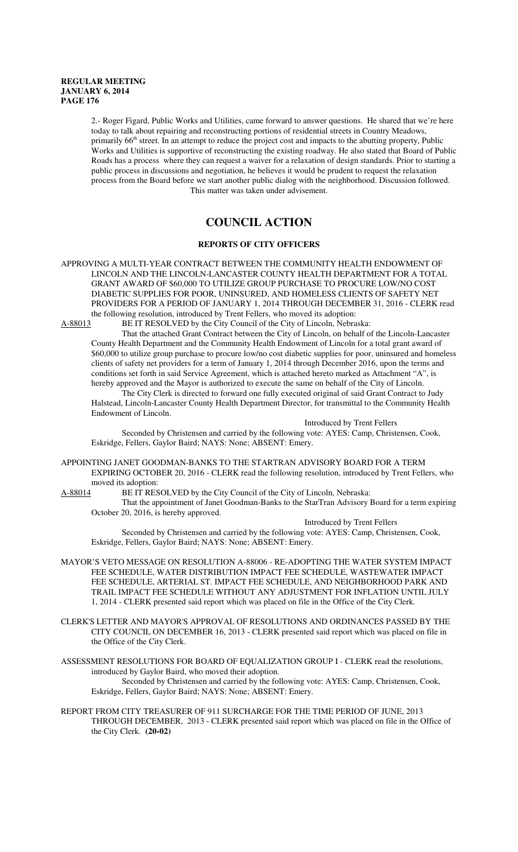2.- Roger Figard, Public Works and Utilities, came forward to answer questions. He shared that we're here today to talk about repairing and reconstructing portions of residential streets in Country Meadows, primarily 66<sup>th</sup> street. In an attempt to reduce the project cost and impacts to the abutting property, Public Works and Utilities is supportive of reconstructing the existing roadway. He also stated that Board of Public Roads has a process where they can request a waiver for a relaxation of design standards. Prior to starting a public process in discussions and negotiation, he believes it would be prudent to request the relaxation process from the Board before we start another public dialog with the neighborhood. Discussion followed. This matter was taken under advisement.

# **COUNCIL ACTION**

# **REPORTS OF CITY OFFICERS**

APPROVING A MULTI-YEAR CONTRACT BETWEEN THE COMMUNITY HEALTH ENDOWMENT OF LINCOLN AND THE LINCOLN-LANCASTER COUNTY HEALTH DEPARTMENT FOR A TOTAL GRANT AWARD OF \$60,000 TO UTILIZE GROUP PURCHASE TO PROCURE LOW/NO COST DIABETIC SUPPLIES FOR POOR, UNINSURED, AND HOMELESS CLIENTS OF SAFETY NET PROVIDERS FOR A PERIOD OF JANUARY 1, 2014 THROUGH DECEMBER 31, 2016 - CLERK read the following resolution, introduced by Trent Fellers, who moved its adoption:

A-88013 BE IT RESOLVED by the City Council of the City of Lincoln, Nebraska:

That the attached Grant Contract between the City of Lincoln, on behalf of the Lincoln-Lancaster County Health Department and the Community Health Endowment of Lincoln for a total grant award of \$60,000 to utilize group purchase to procure low/no cost diabetic supplies for poor, uninsured and homeless clients of safety net providers for a term of January 1, 2014 through December 2016, upon the terms and conditions set forth in said Service Agreement, which is attached hereto marked as Attachment "A", is hereby approved and the Mayor is authorized to execute the same on behalf of the City of Lincoln.

The City Clerk is directed to forward one fully executed original of said Grant Contract to Judy Halstead, Lincoln-Lancaster County Health Department Director, for transmittal to the Community Health Endowment of Lincoln.

Introduced by Trent Fellers

Seconded by Christensen and carried by the following vote: AYES: Camp, Christensen, Cook, Eskridge, Fellers, Gaylor Baird; NAYS: None; ABSENT: Emery.

APPOINTING JANET GOODMAN-BANKS TO THE STARTRAN ADVISORY BOARD FOR A TERM EXPIRING OCTOBER 20, 2016 - CLERK read the following resolution, introduced by Trent Fellers, who moved its adoption:<br>A-88014 BE IT RES

BE IT RESOLVED by the City Council of the City of Lincoln, Nebraska:

That the appointment of Janet Goodman-Banks to the StarTran Advisory Board for a term expiring October 20, 2016, is hereby approved.

Introduced by Trent Fellers

Seconded by Christensen and carried by the following vote: AYES: Camp, Christensen, Cook, Eskridge, Fellers, Gaylor Baird; NAYS: None; ABSENT: Emery.

- MAYOR'S VETO MESSAGE ON RESOLUTION A-88006 RE-ADOPTING THE WATER SYSTEM IMPACT FEE SCHEDULE, WATER DISTRIBUTION IMPACT FEE SCHEDULE, WASTEWATER IMPACT FEE SCHEDULE, ARTERIAL ST. IMPACT FEE SCHEDULE, AND NEIGHBORHOOD PARK AND TRAIL IMPACT FEE SCHEDULE WITHOUT ANY ADJUSTMENT FOR INFLATION UNTIL JULY 1, 2014 - CLERK presented said report which was placed on file in the Office of the City Clerk.
- CLERK'S LETTER AND MAYOR'S APPROVAL OF RESOLUTIONS AND ORDINANCES PASSED BY THE CITY COUNCIL ON DECEMBER 16, 2013 - CLERK presented said report which was placed on file in the Office of the City Clerk.

ASSESSMENT RESOLUTIONS FOR BOARD OF EQUALIZATION GROUP I - CLERK read the resolutions, introduced by Gaylor Baird, who moved their adoption. Seconded by Christensen and carried by the following vote: AYES: Camp, Christensen, Cook, Eskridge, Fellers, Gaylor Baird; NAYS: None; ABSENT: Emery.

REPORT FROM CITY TREASURER OF 911 SURCHARGE FOR THE TIME PERIOD OF JUNE, 2013 THROUGH DECEMBER, 2013 - CLERK presented said report which was placed on file in the Office of the City Clerk. **(20-02)**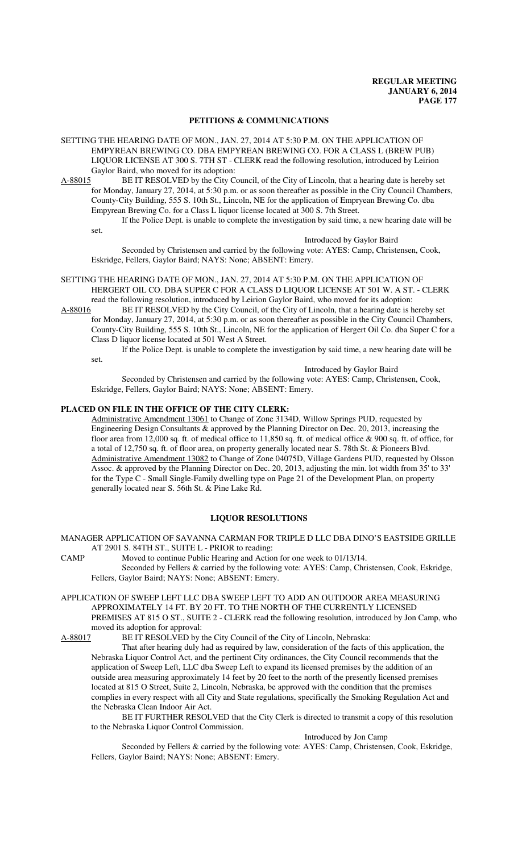#### **PETITIONS & COMMUNICATIONS**

- SETTING THE HEARING DATE OF MON., JAN. 27, 2014 AT 5:30 P.M. ON THE APPLICATION OF EMPYREAN BREWING CO. DBA EMPYREAN BREWING CO. FOR A CLASS L (BREW PUB) LIQUOR LICENSE AT 300 S. 7TH ST - CLERK read the following resolution, introduced by Leirion Gaylor Baird, who moved for its adoption:
- A-88015 BE IT RESOLVED by the City Council, of the City of Lincoln, that a hearing date is hereby set for Monday, January 27, 2014, at 5:30 p.m. or as soon thereafter as possible in the City Council Chambers, County-City Building, 555 S. 10th St., Lincoln, NE for the application of Empryean Brewing Co. dba Empyrean Brewing Co. for a Class L liquor license located at 300 S. 7th Street.

If the Police Dept. is unable to complete the investigation by said time, a new hearing date will be set.

Introduced by Gaylor Baird

Seconded by Christensen and carried by the following vote: AYES: Camp, Christensen, Cook, Eskridge, Fellers, Gaylor Baird; NAYS: None; ABSENT: Emery.

- SETTING THE HEARING DATE OF MON., JAN. 27, 2014 AT 5:30 P.M. ON THE APPLICATION OF HERGERT OIL CO. DBA SUPER C FOR A CLASS D LIQUOR LICENSE AT 501 W. A ST. - CLERK
- read the following resolution, introduced by Leirion Gaylor Baird, who moved for its adoption:<br>A-88016 BE IT RESOLVED by the City Council, of the City of Lincoln, that a hearing date is h BE IT RESOLVED by the City Council, of the City of Lincoln, that a hearing date is hereby set for Monday, January 27, 2014, at 5:30 p.m. or as soon thereafter as possible in the City Council Chambers, County-City Building, 555 S. 10th St., Lincoln, NE for the application of Hergert Oil Co. dba Super C for a Class D liquor license located at 501 West A Street.
	- If the Police Dept. is unable to complete the investigation by said time, a new hearing date will be set.

Introduced by Gaylor Baird

Seconded by Christensen and carried by the following vote: AYES: Camp, Christensen, Cook, Eskridge, Fellers, Gaylor Baird; NAYS: None; ABSENT: Emery.

#### **PLACED ON FILE IN THE OFFICE OF THE CITY CLERK:**

Administrative Amendment 13061 to Change of Zone 3134D, Willow Springs PUD, requested by Engineering Design Consultants & approved by the Planning Director on Dec. 20, 2013, increasing the floor area from 12,000 sq. ft. of medical office to 11,850 sq. ft. of medical office & 900 sq. ft. of office, for a total of 12,750 sq. ft. of floor area, on property generally located near S. 78th St. & Pioneers Blvd. Administrative Amendment 13082 to Change of Zone 04075D, Village Gardens PUD, requested by Olsson Assoc. & approved by the Planning Director on Dec. 20, 2013, adjusting the min. lot width from 35' to 33' for the Type C - Small Single-Family dwelling type on Page 21 of the Development Plan, on property generally located near S. 56th St. & Pine Lake Rd.

# **LIQUOR RESOLUTIONS**

MANAGER APPLICATION OF SAVANNA CARMAN FOR TRIPLE D LLC DBA DINO'S EASTSIDE GRILLE AT 2901 S. 84TH ST., SUITE L - PRIOR to reading:

CAMP Moved to continue Public Hearing and Action for one week to 01/13/14.

Seconded by Fellers & carried by the following vote: AYES: Camp, Christensen, Cook, Eskridge, Fellers, Gaylor Baird; NAYS: None; ABSENT: Emery.

APPLICATION OF SWEEP LEFT LLC DBA SWEEP LEFT TO ADD AN OUTDOOR AREA MEASURING APPROXIMATELY 14 FT. BY 20 FT. TO THE NORTH OF THE CURRENTLY LICENSED PREMISES AT 815 O ST., SUITE 2 - CLERK read the following resolution, introduced by Jon Camp, who moved its adoption for approval:

A-88017 BE IT RESOLVED by the City Council of the City of Lincoln, Nebraska:

That after hearing duly had as required by law, consideration of the facts of this application, the Nebraska Liquor Control Act, and the pertinent City ordinances, the City Council recommends that the application of Sweep Left, LLC dba Sweep Left to expand its licensed premises by the addition of an outside area measuring approximately 14 feet by 20 feet to the north of the presently licensed premises located at 815 O Street, Suite 2, Lincoln, Nebraska, be approved with the condition that the premises complies in every respect with all City and State regulations, specifically the Smoking Regulation Act and the Nebraska Clean Indoor Air Act.

BE IT FURTHER RESOLVED that the City Clerk is directed to transmit a copy of this resolution to the Nebraska Liquor Control Commission.

Introduced by Jon Camp

Seconded by Fellers & carried by the following vote: AYES: Camp, Christensen, Cook, Eskridge, Fellers, Gaylor Baird; NAYS: None; ABSENT: Emery.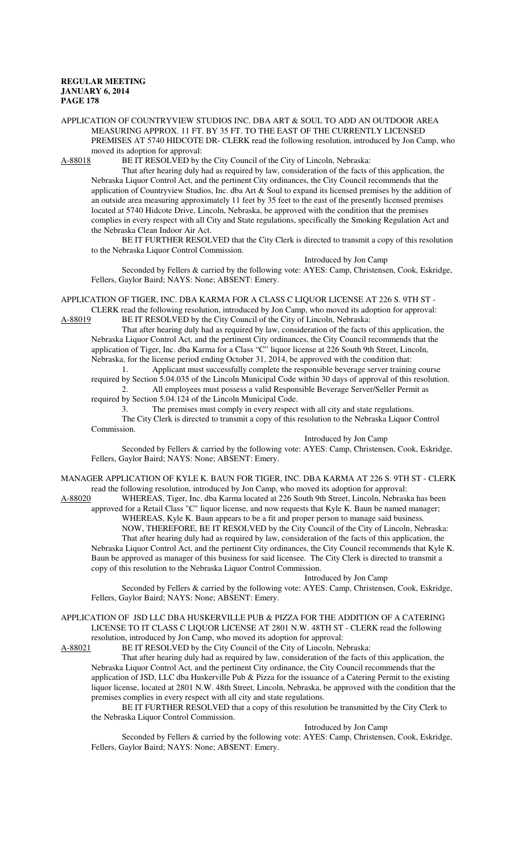APPLICATION OF COUNTRYVIEW STUDIOS INC. DBA ART & SOUL TO ADD AN OUTDOOR AREA MEASURING APPROX. 11 FT. BY 35 FT. TO THE EAST OF THE CURRENTLY LICENSED PREMISES AT 5740 HIDCOTE DR- CLERK read the following resolution, introduced by Jon Camp, who moved its adoption for approval:<br>A-88018 BE IT RESOLVED by t

BE IT RESOLVED by the City Council of the City of Lincoln, Nebraska:

That after hearing duly had as required by law, consideration of the facts of this application, the Nebraska Liquor Control Act, and the pertinent City ordinances, the City Council recommends that the application of Countryview Studios, Inc. dba Art & Soul to expand its licensed premises by the addition of an outside area measuring approximately 11 feet by 35 feet to the east of the presently licensed premises located at 5740 Hidcote Drive, Lincoln, Nebraska, be approved with the condition that the premises complies in every respect with all City and State regulations, specifically the Smoking Regulation Act and the Nebraska Clean Indoor Air Act.

BE IT FURTHER RESOLVED that the City Clerk is directed to transmit a copy of this resolution to the Nebraska Liquor Control Commission.

Introduced by Jon Camp

Seconded by Fellers & carried by the following vote: AYES: Camp, Christensen, Cook, Eskridge, Fellers, Gaylor Baird; NAYS: None; ABSENT: Emery.

APPLICATION OF TIGER, INC. DBA KARMA FOR A CLASS C LIQUOR LICENSE AT 226 S. 9TH ST - CLERK read the following resolution, introduced by Jon Camp, who moved its adoption for approval:

A-88019 BE IT RESOLVED by the City Council of the City of Lincoln, Nebraska: That after hearing duly had as required by law, consideration of the facts of this application, the Nebraska Liquor Control Act, and the pertinent City ordinances, the City Council recommends that the application of Tiger, Inc. dba Karma for a Class "C" liquor license at 226 South 9th Street, Lincoln,

Nebraska, for the license period ending October 31, 2014, be approved with the condition that: 1. Applicant must successfully complete the responsible beverage server training course

required by Section 5.04.035 of the Lincoln Municipal Code within 30 days of approval of this resolution. 2. All employees must possess a valid Responsible Beverage Server/Seller Permit as required by Section 5.04.124 of the Lincoln Municipal Code.

3. The premises must comply in every respect with all city and state regulations.

The City Clerk is directed to transmit a copy of this resolution to the Nebraska Liquor Control Commission.

Introduced by Jon Camp

Seconded by Fellers & carried by the following vote: AYES: Camp, Christensen, Cook, Eskridge, Fellers, Gaylor Baird; NAYS: None; ABSENT: Emery.

MANAGER APPLICATION OF KYLE K. BAUN FOR TIGER, INC. DBA KARMA AT 226 S. 9TH ST - CLERK read the following resolution, introduced by Jon Camp, who moved its adoption for approval:

A-88020 WHEREAS, Tiger, Inc. dba Karma located at 226 South 9th Street, Lincoln, Nebraska has been approved for a Retail Class "C" liquor license, and now requests that Kyle K. Baun be named manager; WHEREAS, Kyle K. Baun appears to be a fit and proper person to manage said business.

NOW, THEREFORE, BE IT RESOLVED by the City Council of the City of Lincoln, Nebraska: That after hearing duly had as required by law, consideration of the facts of this application, the Nebraska Liquor Control Act, and the pertinent City ordinances, the City Council recommends that Kyle K. Baun be approved as manager of this business for said licensee. The City Clerk is directed to transmit a copy of this resolution to the Nebraska Liquor Control Commission.

Introduced by Jon Camp

Seconded by Fellers & carried by the following vote: AYES: Camp, Christensen, Cook, Eskridge, Fellers, Gaylor Baird; NAYS: None; ABSENT: Emery.

APPLICATION OF JSD LLC DBA HUSKERVILLE PUB & PIZZA FOR THE ADDITION OF A CATERING LICENSE TO IT CLASS C LIQUOR LICENSE AT 2801 N.W. 48TH ST - CLERK read the following resolution, introduced by Jon Camp, who moved its adoption for approval:

A-88021 BE IT RESOLVED by the City Council of the City of Lincoln, Nebraska:

That after hearing duly had as required by law, consideration of the facts of this application, the Nebraska Liquor Control Act, and the pertinent City ordinance, the City Council recommends that the application of JSD, LLC dba Huskerville Pub & Pizza for the issuance of a Catering Permit to the existing liquor license, located at 2801 N.W. 48th Street, Lincoln, Nebraska, be approved with the condition that the premises complies in every respect with all city and state regulations.

BE IT FURTHER RESOLVED that a copy of this resolution be transmitted by the City Clerk to the Nebraska Liquor Control Commission.

Introduced by Jon Camp

Seconded by Fellers & carried by the following vote: AYES: Camp, Christensen, Cook, Eskridge, Fellers, Gaylor Baird; NAYS: None; ABSENT: Emery.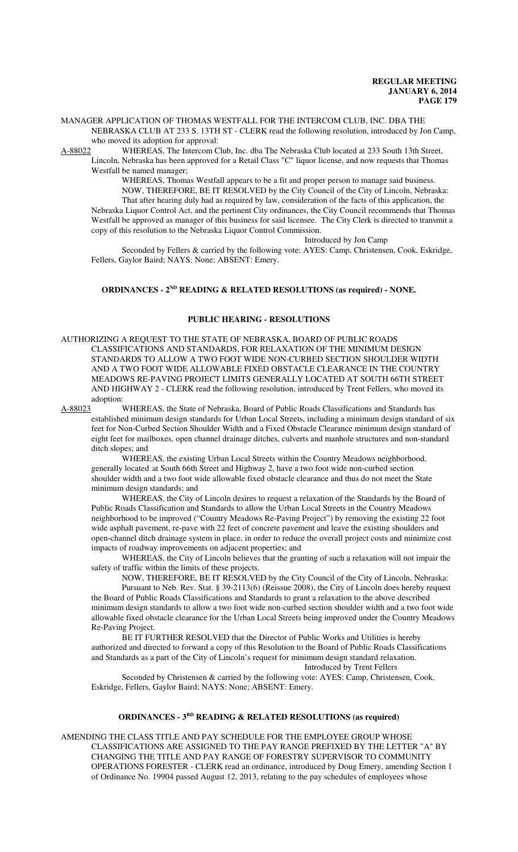MANAGER APPLICATION OF THOMAS WESTFALL FOR THE INTERCOM CLUB, INC. DBA THE NEBRASKA CLUB AT 233 S. 13TH ST - CLERK read the following resolution, introduced by Jon Camp, who moved its adoption for approval:

A-88022 WHEREAS, The Intercom Club, Inc. dba The Nebraska Club located at 233 South 13th Street, Lincoln, Nebraska has been approved for a Retail Class "C" liquor license, and now requests that Thomas Westfall be named manager;

WHEREAS, Thomas Westfall appears to be a fit and proper person to manage said business. NOW, THEREFORE, BE IT RESOLVED by the City Council of the City of Lincoln, Nebraska: That after hearing duly had as required by law, consideration of the facts of this application, the Nebraska Liquor Control Act, and the pertinent City ordinances, the City Council recommends that Thomas Westfall be approved as manager of this business for said licensee. The City Clerk is directed to transmit a copy of this resolution to the Nebraska Liquor Control Commission.

Introduced by Jon Camp

Seconded by Fellers & carried by the following vote: AYES: Camp, Christensen, Cook, Eskridge, Fellers, Gaylor Baird; NAYS: None; ABSENT: Emery.

### **ORDINANCES - 2ND READING & RELATED RESOLUTIONS (as required) - NONE.**

#### **PUBLIC HEARING - RESOLUTIONS**

AUTHORIZING A REQUEST TO THE STATE OF NEBRASKA, BOARD OF PUBLIC ROADS CLASSIFICATIONS AND STANDARDS, FOR RELAXATION OF THE MINIMUM DESIGN STANDARDS TO ALLOW A TWO FOOT WIDE NON-CURBED SECTION SHOULDER WIDTH AND A TWO FOOT WIDE ALLOWABLE FIXED OBSTACLE CLEARANCE IN THE COUNTRY MEADOWS RE-PAVING PROJECT LIMITS GENERALLY LOCATED AT SOUTH 66TH STREET AND HIGHWAY 2 - CLERK read the following resolution, introduced by Trent Fellers, who moved its adoption:

A-88023 WHEREAS, the State of Nebraska, Board of Public Roads Classifications and Standards has established minimum design standards for Urban Local Streets, including a minimum design standard of six feet for Non-Curbed Section Shoulder Width and a Fixed Obstacle Clearance minimum design standard of eight feet for mailboxes, open channel drainage ditches, culverts and manhole structures and non-standard ditch slopes; and

WHEREAS, the existing Urban Local Streets within the Country Meadows neighborhood, generally located at South 66th Street and Highway 2, have a two foot wide non-curbed section shoulder width and a two foot wide allowable fixed obstacle clearance and thus do not meet the State minimum design standards; and

WHEREAS, the City of Lincoln desires to request a relaxation of the Standards by the Board of Public Roads Classification and Standards to allow the Urban Local Streets in the Country Meadows neighborhood to be improved ("Country Meadows Re-Paving Project") by removing the existing 22 foot wide asphalt pavement, re-pave with 22 feet of concrete pavement and leave the existing shoulders and open-channel ditch drainage system in place, in order to reduce the overall project costs and minimize cost impacts of roadway improvements on adjacent properties; and

WHEREAS, the City of Lincoln believes that the granting of such a relaxation will not impair the safety of traffic within the limits of these projects.

NOW, THEREFORE, BE IT RESOLVED by the City Council of the City of Lincoln, Nebraska: Pursuant to Neb. Rev. Stat. § 39-2113(6) (Reissue 2008), the City of Lincoln does hereby request the Board of Public Roads Classifications and Standards to grant a relaxation to the above described minimum design standards to allow a two foot wide non-curbed section shoulder width and a two foot wide allowable fixed obstacle clearance for the Urban Local Streets being improved under the Country Meadows Re-Paving Project.

BE IT FURTHER RESOLVED that the Director of Public Works and Utilities is hereby authorized and directed to forward a copy of this Resolution to the Board of Public Roads Classifications and Standards as a part of the City of Lincoln's request for minimum design standard relaxation. Introduced by Trent Fellers

Seconded by Christensen & carried by the following vote: AYES: Camp, Christensen, Cook, Eskridge, Fellers, Gaylor Baird; NAYS: None; ABSENT: Emery.

# **ORDINANCES - 3<sup>RD</sup>** READING & RELATED RESOLUTIONS (as required)

AMENDING THE CLASS TITLE AND PAY SCHEDULE FOR THE EMPLOYEE GROUP WHOSE CLASSIFICATIONS ARE ASSIGNED TO THE PAY RANGE PREFIXED BY THE LETTER "A" BY CHANGING THE TITLE AND PAY RANGE OF FORESTRY SUPERVISOR TO COMMUNITY OPERATIONS FORESTER - CLERK read an ordinance, introduced by Doug Emery, amending Section 1 of Ordinance No. 19904 passed August 12, 2013, relating to the pay schedules of employees whose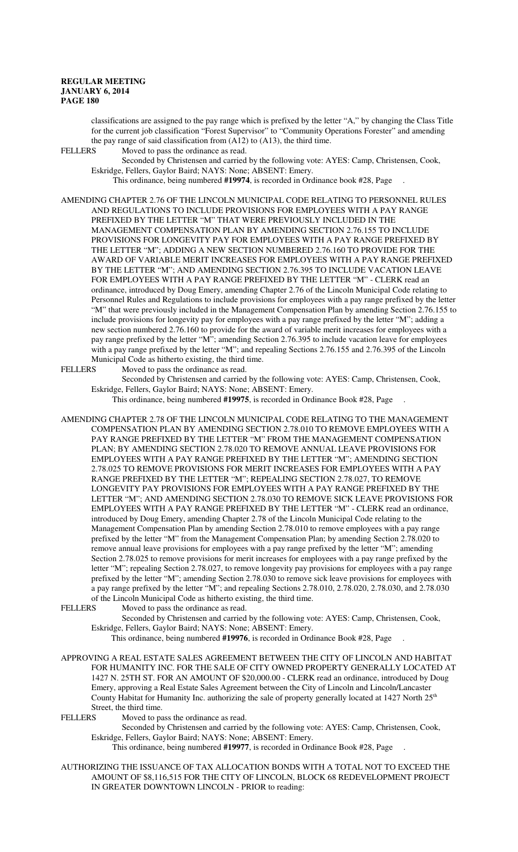classifications are assigned to the pay range which is prefixed by the letter "A," by changing the Class Title for the current job classification "Forest Supervisor" to "Community Operations Forester" and amending the pay range of said classification from (A12) to (A13), the third time.<br>FELLERS Moved to pass the ordinance as read.

Moved to pass the ordinance as read.

Seconded by Christensen and carried by the following vote: AYES: Camp, Christensen, Cook, Eskridge, Fellers, Gaylor Baird; NAYS: None; ABSENT: Emery.

This ordinance, being numbered **#19974**, is recorded in Ordinance book #28, Page .

AMENDING CHAPTER 2.76 OF THE LINCOLN MUNICIPAL CODE RELATING TO PERSONNEL RULES AND REGULATIONS TO INCLUDE PROVISIONS FOR EMPLOYEES WITH A PAY RANGE PREFIXED BY THE LETTER "M" THAT WERE PREVIOUSLY INCLUDED IN THE MANAGEMENT COMPENSATION PLAN BY AMENDING SECTION 2.76.155 TO INCLUDE PROVISIONS FOR LONGEVITY PAY FOR EMPLOYEES WITH A PAY RANGE PREFIXED BY THE LETTER "M"; ADDING A NEW SECTION NUMBERED 2.76.160 TO PROVIDE FOR THE AWARD OF VARIABLE MERIT INCREASES FOR EMPLOYEES WITH A PAY RANGE PREFIXED BY THE LETTER "M"; AND AMENDING SECTION 2.76.395 TO INCLUDE VACATION LEAVE FOR EMPLOYEES WITH A PAY RANGE PREFIXED BY THE LETTER "M" - CLERK read an ordinance, introduced by Doug Emery, amending Chapter 2.76 of the Lincoln Municipal Code relating to Personnel Rules and Regulations to include provisions for employees with a pay range prefixed by the letter "M" that were previously included in the Management Compensation Plan by amending Section 2.76.155 to include provisions for longevity pay for employees with a pay range prefixed by the letter "M"; adding a new section numbered 2.76.160 to provide for the award of variable merit increases for employees with a pay range prefixed by the letter "M"; amending Section 2.76.395 to include vacation leave for employees with a pay range prefixed by the letter "M"; and repealing Sections 2.76.155 and 2.76.395 of the Lincoln Municipal Code as hitherto existing, the third time.<br>FELLERS Moved to pass the ordinance as read.

Moved to pass the ordinance as read.

Seconded by Christensen and carried by the following vote: AYES: Camp, Christensen, Cook, Eskridge, Fellers, Gaylor Baird; NAYS: None; ABSENT: Emery.

This ordinance, being numbered **#19975**, is recorded in Ordinance Book #28, Page .

AMENDING CHAPTER 2.78 OF THE LINCOLN MUNICIPAL CODE RELATING TO THE MANAGEMENT COMPENSATION PLAN BY AMENDING SECTION 2.78.010 TO REMOVE EMPLOYEES WITH A PAY RANGE PREFIXED BY THE LETTER "M" FROM THE MANAGEMENT COMPENSATION PLAN; BY AMENDING SECTION 2.78.020 TO REMOVE ANNUAL LEAVE PROVISIONS FOR EMPLOYEES WITH A PAY RANGE PREFIXED BY THE LETTER "M"; AMENDING SECTION 2.78.025 TO REMOVE PROVISIONS FOR MERIT INCREASES FOR EMPLOYEES WITH A PAY RANGE PREFIXED BY THE LETTER "M"; REPEALING SECTION 2.78.027, TO REMOVE LONGEVITY PAY PROVISIONS FOR EMPLOYEES WITH A PAY RANGE PREFIXED BY THE LETTER "M"; AND AMENDING SECTION 2.78.030 TO REMOVE SICK LEAVE PROVISIONS FOR EMPLOYEES WITH A PAY RANGE PREFIXED BY THE LETTER "M" - CLERK read an ordinance, introduced by Doug Emery, amending Chapter 2.78 of the Lincoln Municipal Code relating to the Management Compensation Plan by amending Section 2.78.010 to remove employees with a pay range prefixed by the letter "M" from the Management Compensation Plan; by amending Section 2.78.020 to remove annual leave provisions for employees with a pay range prefixed by the letter "M"; amending Section 2.78.025 to remove provisions for merit increases for employees with a pay range prefixed by the letter "M"; repealing Section 2.78.027, to remove longevity pay provisions for employees with a pay range prefixed by the letter "M"; amending Section 2.78.030 to remove sick leave provisions for employees with a pay range prefixed by the letter "M"; and repealing Sections 2.78.010, 2.78.020, 2.78.030, and 2.78.030 of the Lincoln Municipal Code as hitherto existing, the third time.

FELLERS Moved to pass the ordinance as read.

Seconded by Christensen and carried by the following vote: AYES: Camp, Christensen, Cook, Eskridge, Fellers, Gaylor Baird; NAYS: None; ABSENT: Emery.

This ordinance, being numbered **#19976**, is recorded in Ordinance Book #28, Page .

APPROVING A REAL ESTATE SALES AGREEMENT BETWEEN THE CITY OF LINCOLN AND HABITAT FOR HUMANITY INC. FOR THE SALE OF CITY OWNED PROPERTY GENERALLY LOCATED AT 1427 N. 25TH ST. FOR AN AMOUNT OF \$20,000.00 - CLERK read an ordinance, introduced by Doug Emery, approving a Real Estate Sales Agreement between the City of Lincoln and Lincoln/Lancaster County Habitat for Humanity Inc. authorizing the sale of property generally located at 1427 North 25<sup>th</sup> Street, the third time.<br>FELLERS Moved to pa

Moved to pass the ordinance as read.

Seconded by Christensen and carried by the following vote: AYES: Camp, Christensen, Cook, Eskridge, Fellers, Gaylor Baird; NAYS: None; ABSENT: Emery.

This ordinance, being numbered **#19977**, is recorded in Ordinance Book #28, Page .

AUTHORIZING THE ISSUANCE OF TAX ALLOCATION BONDS WITH A TOTAL NOT TO EXCEED THE AMOUNT OF \$8,116,515 FOR THE CITY OF LINCOLN, BLOCK 68 REDEVELOPMENT PROJECT IN GREATER DOWNTOWN LINCOLN - PRIOR to reading: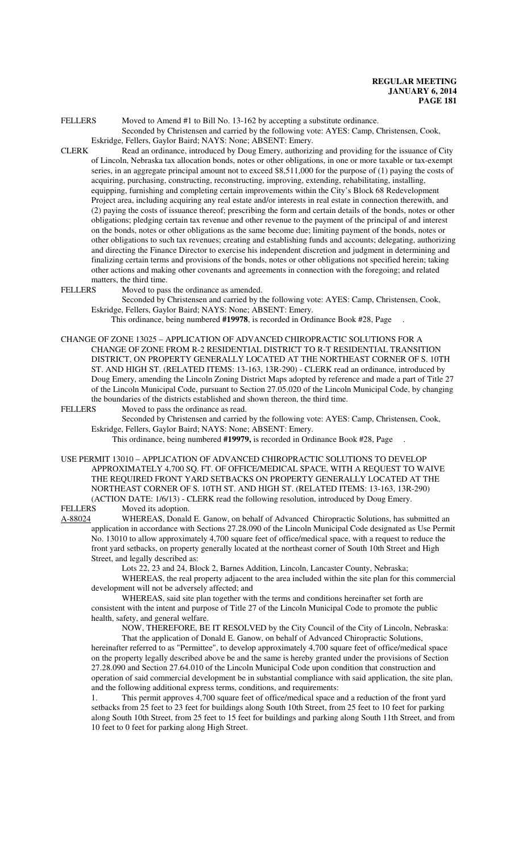FELLERS Moved to Amend #1 to Bill No. 13-162 by accepting a substitute ordinance. Seconded by Christensen and carried by the following vote: AYES: Camp, Christensen, Cook, Eskridge, Fellers, Gaylor Baird; NAYS: None; ABSENT: Emery.

- CLERK Read an ordinance, introduced by Doug Emery, authorizing and providing for the issuance of City of Lincoln, Nebraska tax allocation bonds, notes or other obligations, in one or more taxable or tax-exempt series, in an aggregate principal amount not to exceed \$8,511,000 for the purpose of (1) paying the costs of acquiring, purchasing, constructing, reconstructing, improving, extending, rehabilitating, installing, equipping, furnishing and completing certain improvements within the City's Block 68 Redevelopment Project area, including acquiring any real estate and/or interests in real estate in connection therewith, and (2) paying the costs of issuance thereof; prescribing the form and certain details of the bonds, notes or other obligations; pledging certain tax revenue and other revenue to the payment of the principal of and interest on the bonds, notes or other obligations as the same become due; limiting payment of the bonds, notes or other obligations to such tax revenues; creating and establishing funds and accounts; delegating, authorizing and directing the Finance Director to exercise his independent discretion and judgment in determining and finalizing certain terms and provisions of the bonds, notes or other obligations not specified herein; taking other actions and making other covenants and agreements in connection with the foregoing; and related matters, the third time.
- FELLERS Moved to pass the ordinance as amended.

Seconded by Christensen and carried by the following vote: AYES: Camp, Christensen, Cook, Eskridge, Fellers, Gaylor Baird; NAYS: None; ABSENT: Emery.

This ordinance, being numbered **#19978**, is recorded in Ordinance Book #28, Page .

CHANGE OF ZONE 13025 – APPLICATION OF ADVANCED CHIROPRACTIC SOLUTIONS FOR A CHANGE OF ZONE FROM R-2 RESIDENTIAL DISTRICT TO R-T RESIDENTIAL TRANSITION DISTRICT, ON PROPERTY GENERALLY LOCATED AT THE NORTHEAST CORNER OF S. 10TH ST. AND HIGH ST. (RELATED ITEMS: 13-163, 13R-290) - CLERK read an ordinance, introduced by Doug Emery, amending the Lincoln Zoning District Maps adopted by reference and made a part of Title 27 of the Lincoln Municipal Code, pursuant to Section 27.05.020 of the Lincoln Municipal Code, by changing the boundaries of the districts established and shown thereon, the third time.

FELLERS Moved to pass the ordinance as read.

Seconded by Christensen and carried by the following vote: AYES: Camp, Christensen, Cook, Eskridge, Fellers, Gaylor Baird; NAYS: None; ABSENT: Emery.

This ordinance, being numbered **#19979,** is recorded in Ordinance Book #28, Page .

USE PERMIT 13010 – APPLICATION OF ADVANCED CHIROPRACTIC SOLUTIONS TO DEVELOP APPROXIMATELY 4,700 SQ. FT. OF OFFICE/MEDICAL SPACE, WITH A REQUEST TO WAIVE THE REQUIRED FRONT YARD SETBACKS ON PROPERTY GENERALLY LOCATED AT THE NORTHEAST CORNER OF S. 10TH ST. AND HIGH ST. (RELATED ITEMS: 13-163, 13R-290) (ACTION DATE: 1/6/13) - CLERK read the following resolution, introduced by Doug Emery.

FELLERS Moved its adoption.

A-88024 WHEREAS, Donald E. Ganow, on behalf of Advanced Chiropractic Solutions, has submitted an application in accordance with Sections 27.28.090 of the Lincoln Municipal Code designated as Use Permit No. 13010 to allow approximately 4,700 square feet of office/medical space, with a request to reduce the front yard setbacks, on property generally located at the northeast corner of South 10th Street and High Street, and legally described as:

Lots 22, 23 and 24, Block 2, Barnes Addition, Lincoln, Lancaster County, Nebraska;

WHEREAS, the real property adjacent to the area included within the site plan for this commercial development will not be adversely affected; and

WHEREAS, said site plan together with the terms and conditions hereinafter set forth are consistent with the intent and purpose of Title 27 of the Lincoln Municipal Code to promote the public health, safety, and general welfare.

NOW, THEREFORE, BE IT RESOLVED by the City Council of the City of Lincoln, Nebraska: That the application of Donald E. Ganow, on behalf of Advanced Chiropractic Solutions, hereinafter referred to as "Permittee", to develop approximately 4,700 square feet of office/medical space on the property legally described above be and the same is hereby granted under the provisions of Section 27.28.090 and Section 27.64.010 of the Lincoln Municipal Code upon condition that construction and operation of said commercial development be in substantial compliance with said application, the site plan, and the following additional express terms, conditions, and requirements:

1. This permit approves 4,700 square feet of office/medical space and a reduction of the front yard setbacks from 25 feet to 23 feet for buildings along South 10th Street, from 25 feet to 10 feet for parking along South 10th Street, from 25 feet to 15 feet for buildings and parking along South 11th Street, and from 10 feet to 0 feet for parking along High Street.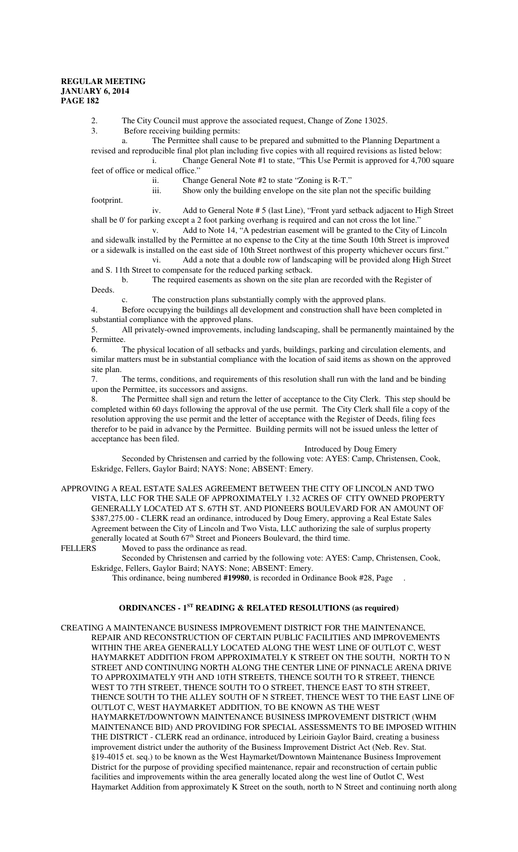2. The City Council must approve the associated request, Change of Zone 13025.<br>3. Before receiving building permits:

Before receiving building permits:

a. The Permittee shall cause to be prepared and submitted to the Planning Department a

revised and reproducible final plot plan including five copies with all required revisions as listed below: i. Change General Note #1 to state, "This Use Permit is approved for 4,700 square feet of office or medical office.'

ii. Change General Note #2 to state "Zoning is R-T."

iii. Show only the building envelope on the site plan not the specific building

footprint.

iv. Add to General Note # 5 (last Line), "Front yard setback adjacent to High Street shall be 0' for parking except a 2 foot parking overhang is required and can not cross the lot line."

v. Add to Note 14, "A pedestrian easement will be granted to the City of Lincoln and sidewalk installed by the Permittee at no expense to the City at the time South 10th Street is improved or a sidewalk is installed on the east side of 10th Street northwest of this property whichever occurs first."

vi. Add a note that a double row of landscaping will be provided along High Street and S. 11th Street to compensate for the reduced parking setback.

b. The required easements as shown on the site plan are recorded with the Register of Deeds.

c. The construction plans substantially comply with the approved plans.

4. Before occupying the buildings all development and construction shall have been completed in substantial compliance with the approved plans.

5. All privately-owned improvements, including landscaping, shall be permanently maintained by the Permittee.

6. The physical location of all setbacks and yards, buildings, parking and circulation elements, and similar matters must be in substantial compliance with the location of said items as shown on the approved site plan.

7. The terms, conditions, and requirements of this resolution shall run with the land and be binding upon the Permittee, its successors and assigns.

8. The Permittee shall sign and return the letter of acceptance to the City Clerk. This step should be completed within 60 days following the approval of the use permit. The City Clerk shall file a copy of the resolution approving the use permit and the letter of acceptance with the Register of Deeds, filing fees therefor to be paid in advance by the Permittee. Building permits will not be issued unless the letter of acceptance has been filed.

# Introduced by Doug Emery

Seconded by Christensen and carried by the following vote: AYES: Camp, Christensen, Cook, Eskridge, Fellers, Gaylor Baird; NAYS: None; ABSENT: Emery.

APPROVING A REAL ESTATE SALES AGREEMENT BETWEEN THE CITY OF LINCOLN AND TWO VISTA, LLC FOR THE SALE OF APPROXIMATELY 1.32 ACRES OF CITY OWNED PROPERTY GENERALLY LOCATED AT S. 67TH ST. AND PIONEERS BOULEVARD FOR AN AMOUNT OF \$387,275.00 - CLERK read an ordinance, introduced by Doug Emery, approving a Real Estate Sales Agreement between the City of Lincoln and Two Vista, LLC authorizing the sale of surplus property generally located at South  $67<sup>th</sup>$  Street and Pioneers Boulevard, the third time.<br>FELLERS Moved to pass the ordinance as read.

Moved to pass the ordinance as read.

Seconded by Christensen and carried by the following vote: AYES: Camp, Christensen, Cook, Eskridge, Fellers, Gaylor Baird; NAYS: None; ABSENT: Emery.

This ordinance, being numbered **#19980**, is recorded in Ordinance Book #28, Page .

# **ORDINANCES - 1ST READING & RELATED RESOLUTIONS (as required)**

CREATING A MAINTENANCE BUSINESS IMPROVEMENT DISTRICT FOR THE MAINTENANCE, REPAIR AND RECONSTRUCTION OF CERTAIN PUBLIC FACILITIES AND IMPROVEMENTS WITHIN THE AREA GENERALLY LOCATED ALONG THE WEST LINE OF OUTLOT C, WEST HAYMARKET ADDITION FROM APPROXIMATELY K STREET ON THE SOUTH, NORTH TO N STREET AND CONTINUING NORTH ALONG THE CENTER LINE OF PINNACLE ARENA DRIVE TO APPROXIMATELY 9TH AND 10TH STREETS, THENCE SOUTH TO R STREET, THENCE WEST TO 7TH STREET, THENCE SOUTH TO O STREET, THENCE EAST TO 8TH STREET, THENCE SOUTH TO THE ALLEY SOUTH OF N STREET, THENCE WEST TO THE EAST LINE OF OUTLOT C, WEST HAYMARKET ADDITION, TO BE KNOWN AS THE WEST HAYMARKET/DOWNTOWN MAINTENANCE BUSINESS IMPROVEMENT DISTRICT (WHM MAINTENANCE BID) AND PROVIDING FOR SPECIAL ASSESSMENTS TO BE IMPOSED WITHIN THE DISTRICT - CLERK read an ordinance, introduced by Leirioin Gaylor Baird, creating a business improvement district under the authority of the Business Improvement District Act (Neb. Rev. Stat. §19-4015 et. seq.) to be known as the West Haymarket/Downtown Maintenance Business Improvement District for the purpose of providing specified maintenance, repair and reconstruction of certain public facilities and improvements within the area generally located along the west line of Outlot C, West Haymarket Addition from approximately K Street on the south, north to N Street and continuing north along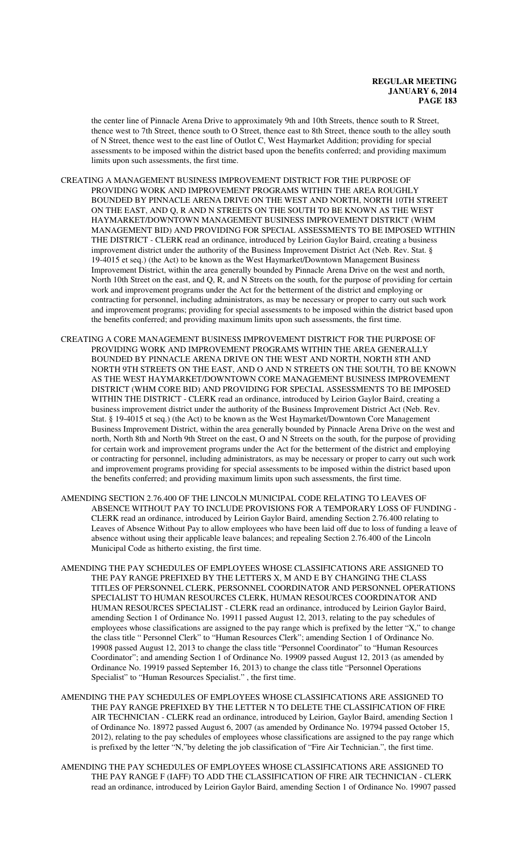the center line of Pinnacle Arena Drive to approximately 9th and 10th Streets, thence south to R Street, thence west to 7th Street, thence south to O Street, thence east to 8th Street, thence south to the alley south of N Street, thence west to the east line of Outlot C, West Haymarket Addition; providing for special assessments to be imposed within the district based upon the benefits conferred; and providing maximum limits upon such assessments, the first time.

CREATING A MANAGEMENT BUSINESS IMPROVEMENT DISTRICT FOR THE PURPOSE OF PROVIDING WORK AND IMPROVEMENT PROGRAMS WITHIN THE AREA ROUGHLY BOUNDED BY PINNACLE ARENA DRIVE ON THE WEST AND NORTH, NORTH 10TH STREET ON THE EAST, AND Q, R AND N STREETS ON THE SOUTH TO BE KNOWN AS THE WEST HAYMARKET/DOWNTOWN MANAGEMENT BUSINESS IMPROVEMENT DISTRICT (WHM MANAGEMENT BID) AND PROVIDING FOR SPECIAL ASSESSMENTS TO BE IMPOSED WITHIN THE DISTRICT - CLERK read an ordinance, introduced by Leirion Gaylor Baird, creating a business improvement district under the authority of the Business Improvement District Act (Neb. Rev. Stat. § 19-4015 et seq.) (the Act) to be known as the West Haymarket/Downtown Management Business Improvement District, within the area generally bounded by Pinnacle Arena Drive on the west and north, North 10th Street on the east, and Q, R, and N Streets on the south, for the purpose of providing for certain work and improvement programs under the Act for the betterment of the district and employing or contracting for personnel, including administrators, as may be necessary or proper to carry out such work and improvement programs; providing for special assessments to be imposed within the district based upon the benefits conferred; and providing maximum limits upon such assessments, the first time.

CREATING A CORE MANAGEMENT BUSINESS IMPROVEMENT DISTRICT FOR THE PURPOSE OF PROVIDING WORK AND IMPROVEMENT PROGRAMS WITHIN THE AREA GENERALLY BOUNDED BY PINNACLE ARENA DRIVE ON THE WEST AND NORTH, NORTH 8TH AND NORTH 9TH STREETS ON THE EAST, AND O AND N STREETS ON THE SOUTH, TO BE KNOWN AS THE WEST HAYMARKET/DOWNTOWN CORE MANAGEMENT BUSINESS IMPROVEMENT DISTRICT (WHM CORE BID) AND PROVIDING FOR SPECIAL ASSESSMENTS TO BE IMPOSED WITHIN THE DISTRICT - CLERK read an ordinance, introduced by Leirion Gaylor Baird, creating a business improvement district under the authority of the Business Improvement District Act (Neb. Rev. Stat. § 19-4015 et seq.) (the Act) to be known as the West Haymarket/Downtown Core Management Business Improvement District, within the area generally bounded by Pinnacle Arena Drive on the west and north, North 8th and North 9th Street on the east, O and N Streets on the south, for the purpose of providing for certain work and improvement programs under the Act for the betterment of the district and employing or contracting for personnel, including administrators, as may be necessary or proper to carry out such work and improvement programs providing for special assessments to be imposed within the district based upon the benefits conferred; and providing maximum limits upon such assessments, the first time.

AMENDING SECTION 2.76.400 OF THE LINCOLN MUNICIPAL CODE RELATING TO LEAVES OF ABSENCE WITHOUT PAY TO INCLUDE PROVISIONS FOR A TEMPORARY LOSS OF FUNDING - CLERK read an ordinance, introduced by Leirion Gaylor Baird, amending Section 2.76.400 relating to Leaves of Absence Without Pay to allow employees who have been laid off due to loss of funding a leave of absence without using their applicable leave balances; and repealing Section 2.76.400 of the Lincoln Municipal Code as hitherto existing, the first time.

- AMENDING THE PAY SCHEDULES OF EMPLOYEES WHOSE CLASSIFICATIONS ARE ASSIGNED TO THE PAY RANGE PREFIXED BY THE LETTERS X, M AND E BY CHANGING THE CLASS TITLES OF PERSONNEL CLERK, PERSONNEL COORDINATOR AND PERSONNEL OPERATIONS SPECIALIST TO HUMAN RESOURCES CLERK, HUMAN RESOURCES COORDINATOR AND HUMAN RESOURCES SPECIALIST - CLERK read an ordinance, introduced by Leirion Gaylor Baird, amending Section 1 of Ordinance No. 19911 passed August 12, 2013, relating to the pay schedules of employees whose classifications are assigned to the pay range which is prefixed by the letter "X," to change the class title " Personnel Clerk" to "Human Resources Clerk"; amending Section 1 of Ordinance No. 19908 passed August 12, 2013 to change the class title "Personnel Coordinator" to "Human Resources Coordinator"; and amending Section 1 of Ordinance No. 19909 passed August 12, 2013 (as amended by Ordinance No. 19919 passed September 16, 2013) to change the class title "Personnel Operations Specialist" to "Human Resources Specialist." , the first time.
- AMENDING THE PAY SCHEDULES OF EMPLOYEES WHOSE CLASSIFICATIONS ARE ASSIGNED TO THE PAY RANGE PREFIXED BY THE LETTER N TO DELETE THE CLASSIFICATION OF FIRE AIR TECHNICIAN - CLERK read an ordinance, introduced by Leirion, Gaylor Baird, amending Section 1 of Ordinance No. 18972 passed August 6, 2007 (as amended by Ordinance No. 19794 passed October 15, 2012), relating to the pay schedules of employees whose classifications are assigned to the pay range which is prefixed by the letter "N,"by deleting the job classification of "Fire Air Technician.", the first time.
- AMENDING THE PAY SCHEDULES OF EMPLOYEES WHOSE CLASSIFICATIONS ARE ASSIGNED TO THE PAY RANGE F (IAFF) TO ADD THE CLASSIFICATION OF FIRE AIR TECHNICIAN - CLERK read an ordinance, introduced by Leirion Gaylor Baird, amending Section 1 of Ordinance No. 19907 passed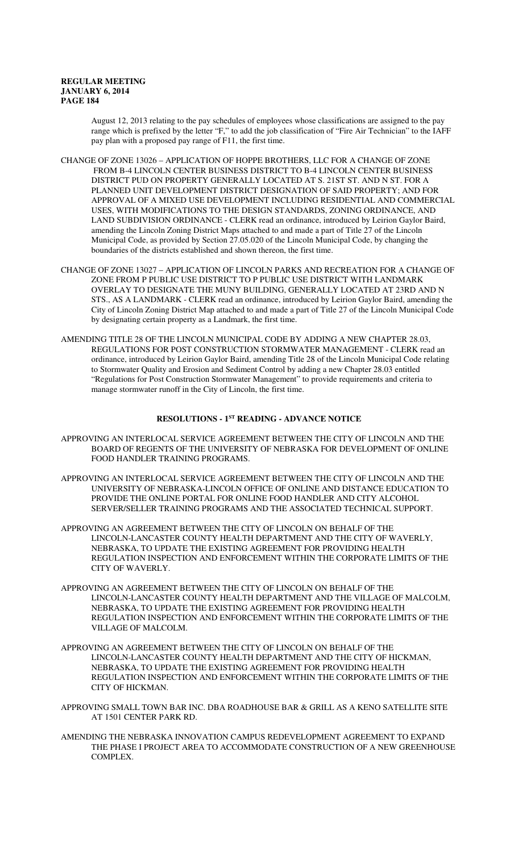August 12, 2013 relating to the pay schedules of employees whose classifications are assigned to the pay range which is prefixed by the letter "F," to add the job classification of "Fire Air Technician" to the IAFF pay plan with a proposed pay range of F11, the first time.

- CHANGE OF ZONE 13026 APPLICATION OF HOPPE BROTHERS, LLC FOR A CHANGE OF ZONE FROM B-4 LINCOLN CENTER BUSINESS DISTRICT TO B-4 LINCOLN CENTER BUSINESS DISTRICT PUD ON PROPERTY GENERALLY LOCATED AT S. 21ST ST. AND N ST. FOR A PLANNED UNIT DEVELOPMENT DISTRICT DESIGNATION OF SAID PROPERTY; AND FOR APPROVAL OF A MIXED USE DEVELOPMENT INCLUDING RESIDENTIAL AND COMMERCIAL USES, WITH MODIFICATIONS TO THE DESIGN STANDARDS, ZONING ORDINANCE, AND LAND SUBDIVISION ORDINANCE - CLERK read an ordinance, introduced by Leirion Gaylor Baird, amending the Lincoln Zoning District Maps attached to and made a part of Title 27 of the Lincoln Municipal Code, as provided by Section 27.05.020 of the Lincoln Municipal Code, by changing the boundaries of the districts established and shown thereon, the first time.
- CHANGE OF ZONE 13027 APPLICATION OF LINCOLN PARKS AND RECREATION FOR A CHANGE OF ZONE FROM P PUBLIC USE DISTRICT TO P PUBLIC USE DISTRICT WITH LANDMARK OVERLAY TO DESIGNATE THE MUNY BUILDING, GENERALLY LOCATED AT 23RD AND N STS., AS A LANDMARK - CLERK read an ordinance, introduced by Leirion Gaylor Baird, amending the City of Lincoln Zoning District Map attached to and made a part of Title 27 of the Lincoln Municipal Code by designating certain property as a Landmark, the first time.
- AMENDING TITLE 28 OF THE LINCOLN MUNICIPAL CODE BY ADDING A NEW CHAPTER 28.03, REGULATIONS FOR POST CONSTRUCTION STORMWATER MANAGEMENT - CLERK read an ordinance, introduced by Leirion Gaylor Baird, amending Title 28 of the Lincoln Municipal Code relating to Stormwater Quality and Erosion and Sediment Control by adding a new Chapter 28.03 entitled "Regulations for Post Construction Stormwater Management" to provide requirements and criteria to manage stormwater runoff in the City of Lincoln, the first time.

# **RESOLUTIONS - 1ST READING - ADVANCE NOTICE**

- APPROVING AN INTERLOCAL SERVICE AGREEMENT BETWEEN THE CITY OF LINCOLN AND THE BOARD OF REGENTS OF THE UNIVERSITY OF NEBRASKA FOR DEVELOPMENT OF ONLINE FOOD HANDLER TRAINING PROGRAMS.
- APPROVING AN INTERLOCAL SERVICE AGREEMENT BETWEEN THE CITY OF LINCOLN AND THE UNIVERSITY OF NEBRASKA-LINCOLN OFFICE OF ONLINE AND DISTANCE EDUCATION TO PROVIDE THE ONLINE PORTAL FOR ONLINE FOOD HANDLER AND CITY ALCOHOL SERVER/SELLER TRAINING PROGRAMS AND THE ASSOCIATED TECHNICAL SUPPORT.
- APPROVING AN AGREEMENT BETWEEN THE CITY OF LINCOLN ON BEHALF OF THE LINCOLN-LANCASTER COUNTY HEALTH DEPARTMENT AND THE CITY OF WAVERLY, NEBRASKA, TO UPDATE THE EXISTING AGREEMENT FOR PROVIDING HEALTH REGULATION INSPECTION AND ENFORCEMENT WITHIN THE CORPORATE LIMITS OF THE CITY OF WAVERLY.
- APPROVING AN AGREEMENT BETWEEN THE CITY OF LINCOLN ON BEHALF OF THE LINCOLN-LANCASTER COUNTY HEALTH DEPARTMENT AND THE VILLAGE OF MALCOLM, NEBRASKA, TO UPDATE THE EXISTING AGREEMENT FOR PROVIDING HEALTH REGULATION INSPECTION AND ENFORCEMENT WITHIN THE CORPORATE LIMITS OF THE VILLAGE OF MALCOLM.
- APPROVING AN AGREEMENT BETWEEN THE CITY OF LINCOLN ON BEHALF OF THE LINCOLN-LANCASTER COUNTY HEALTH DEPARTMENT AND THE CITY OF HICKMAN, NEBRASKA, TO UPDATE THE EXISTING AGREEMENT FOR PROVIDING HEALTH REGULATION INSPECTION AND ENFORCEMENT WITHIN THE CORPORATE LIMITS OF THE CITY OF HICKMAN.
- APPROVING SMALL TOWN BAR INC. DBA ROADHOUSE BAR & GRILL AS A KENO SATELLITE SITE AT 1501 CENTER PARK RD.
- AMENDING THE NEBRASKA INNOVATION CAMPUS REDEVELOPMENT AGREEMENT TO EXPAND THE PHASE I PROJECT AREA TO ACCOMMODATE CONSTRUCTION OF A NEW GREENHOUSE COMPLEX.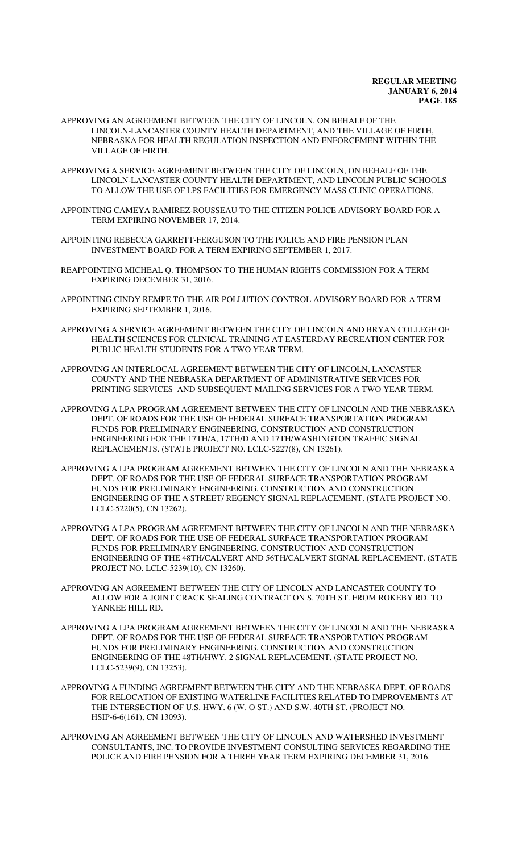- APPROVING AN AGREEMENT BETWEEN THE CITY OF LINCOLN, ON BEHALF OF THE LINCOLN-LANCASTER COUNTY HEALTH DEPARTMENT, AND THE VILLAGE OF FIRTH, NEBRASKA FOR HEALTH REGULATION INSPECTION AND ENFORCEMENT WITHIN THE VILLAGE OF FIRTH.
- APPROVING A SERVICE AGREEMENT BETWEEN THE CITY OF LINCOLN, ON BEHALF OF THE LINCOLN-LANCASTER COUNTY HEALTH DEPARTMENT, AND LINCOLN PUBLIC SCHOOLS TO ALLOW THE USE OF LPS FACILITIES FOR EMERGENCY MASS CLINIC OPERATIONS.
- APPOINTING CAMEYA RAMIREZ-ROUSSEAU TO THE CITIZEN POLICE ADVISORY BOARD FOR A TERM EXPIRING NOVEMBER 17, 2014.
- APPOINTING REBECCA GARRETT-FERGUSON TO THE POLICE AND FIRE PENSION PLAN INVESTMENT BOARD FOR A TERM EXPIRING SEPTEMBER 1, 2017.
- REAPPOINTING MICHEAL Q. THOMPSON TO THE HUMAN RIGHTS COMMISSION FOR A TERM EXPIRING DECEMBER 31, 2016.
- APPOINTING CINDY REMPE TO THE AIR POLLUTION CONTROL ADVISORY BOARD FOR A TERM EXPIRING SEPTEMBER 1, 2016.
- APPROVING A SERVICE AGREEMENT BETWEEN THE CITY OF LINCOLN AND BRYAN COLLEGE OF HEALTH SCIENCES FOR CLINICAL TRAINING AT EASTERDAY RECREATION CENTER FOR PUBLIC HEALTH STUDENTS FOR A TWO YEAR TERM.
- APPROVING AN INTERLOCAL AGREEMENT BETWEEN THE CITY OF LINCOLN, LANCASTER COUNTY AND THE NEBRASKA DEPARTMENT OF ADMINISTRATIVE SERVICES FOR PRINTING SERVICES AND SUBSEQUENT MAILING SERVICES FOR A TWO YEAR TERM.
- APPROVING A LPA PROGRAM AGREEMENT BETWEEN THE CITY OF LINCOLN AND THE NEBRASKA DEPT. OF ROADS FOR THE USE OF FEDERAL SURFACE TRANSPORTATION PROGRAM FUNDS FOR PRELIMINARY ENGINEERING, CONSTRUCTION AND CONSTRUCTION ENGINEERING FOR THE 17TH/A, 17TH/D AND 17TH/WASHINGTON TRAFFIC SIGNAL REPLACEMENTS. (STATE PROJECT NO. LCLC-5227(8), CN 13261).
- APPROVING A LPA PROGRAM AGREEMENT BETWEEN THE CITY OF LINCOLN AND THE NEBRASKA DEPT. OF ROADS FOR THE USE OF FEDERAL SURFACE TRANSPORTATION PROGRAM FUNDS FOR PRELIMINARY ENGINEERING, CONSTRUCTION AND CONSTRUCTION ENGINEERING OF THE A STREET/ REGENCY SIGNAL REPLACEMENT. (STATE PROJECT NO. LCLC-5220(5), CN 13262).
- APPROVING A LPA PROGRAM AGREEMENT BETWEEN THE CITY OF LINCOLN AND THE NEBRASKA DEPT. OF ROADS FOR THE USE OF FEDERAL SURFACE TRANSPORTATION PROGRAM FUNDS FOR PRELIMINARY ENGINEERING, CONSTRUCTION AND CONSTRUCTION ENGINEERING OF THE 48TH/CALVERT AND 56TH/CALVERT SIGNAL REPLACEMENT. (STATE PROJECT NO. LCLC-5239(10), CN 13260).
- APPROVING AN AGREEMENT BETWEEN THE CITY OF LINCOLN AND LANCASTER COUNTY TO ALLOW FOR A JOINT CRACK SEALING CONTRACT ON S. 70TH ST. FROM ROKEBY RD. TO YANKEE HILL RD.
- APPROVING A LPA PROGRAM AGREEMENT BETWEEN THE CITY OF LINCOLN AND THE NEBRASKA DEPT. OF ROADS FOR THE USE OF FEDERAL SURFACE TRANSPORTATION PROGRAM FUNDS FOR PRELIMINARY ENGINEERING, CONSTRUCTION AND CONSTRUCTION ENGINEERING OF THE 48TH/HWY. 2 SIGNAL REPLACEMENT. (STATE PROJECT NO. LCLC-5239(9), CN 13253).
- APPROVING A FUNDING AGREEMENT BETWEEN THE CITY AND THE NEBRASKA DEPT. OF ROADS FOR RELOCATION OF EXISTING WATERLINE FACILITIES RELATED TO IMPROVEMENTS AT THE INTERSECTION OF U.S. HWY. 6 (W. O ST.) AND S.W. 40TH ST. (PROJECT NO. HSIP-6-6(161), CN 13093).
- APPROVING AN AGREEMENT BETWEEN THE CITY OF LINCOLN AND WATERSHED INVESTMENT CONSULTANTS, INC. TO PROVIDE INVESTMENT CONSULTING SERVICES REGARDING THE POLICE AND FIRE PENSION FOR A THREE YEAR TERM EXPIRING DECEMBER 31, 2016.